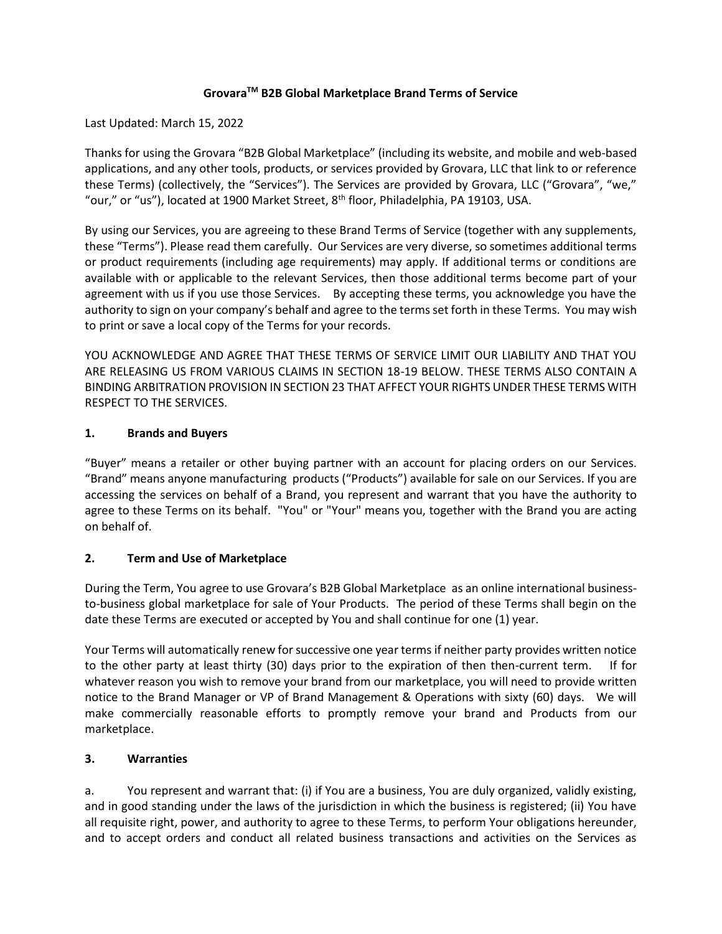### **GrovaraTM B2B Global Marketplace Brand Terms of Service**

Last Updated: March 15, 2022

Thanks for using the Grovara "B2B Global Marketplace" (including its website, and mobile and web-based applications, and any other tools, products, or services provided by Grovara, LLC that link to or reference these Terms) (collectively, the "Services"). The Services are provided by Grovara, LLC ("Grovara", "we," "our," or "us"), located at 1900 Market Street, 8<sup>th</sup> floor, Philadelphia, PA 19103, USA.

By using our Services, you are agreeing to these Brand Terms of Service (together with any supplements, these "Terms"). Please read them carefully. Our Services are very diverse, so sometimes additional terms or product requirements (including age requirements) may apply. If additional terms or conditions are available with or applicable to the relevant Services, then those additional terms become part of your agreement with us if you use those Services. By accepting these terms, you acknowledge you have the authority to sign on your company's behalf and agree to the terms set forth in these Terms. You may wish to print or save a local copy of the Terms for your records.

YOU ACKNOWLEDGE AND AGREE THAT THESE TERMS OF SERVICE LIMIT OUR LIABILITY AND THAT YOU ARE RELEASING US FROM VARIOUS CLAIMS IN SECTION 18-19 BELOW. THESE TERMS ALSO CONTAIN A BINDING ARBITRATION PROVISION IN SECTION 23 THAT AFFECT YOUR RIGHTS UNDER THESE TERMS WITH RESPECT TO THE SERVICES.

### **1. Brands and Buyers**

"Buyer" means a retailer or other buying partner with an account for placing orders on our Services. "Brand" means anyone manufacturing products ("Products") available for sale on our Services. If you are accessing the services on behalf of a Brand, you represent and warrant that you have the authority to agree to these Terms on its behalf. "You" or "Your" means you, together with the Brand you are acting on behalf of.

# **2. Term and Use of Marketplace**

During the Term, You agree to use Grovara's B2B Global Marketplace as an online international businessto-business global marketplace for sale of Your Products. The period of these Terms shall begin on the date these Terms are executed or accepted by You and shall continue for one (1) year.

Your Terms will automatically renew for successive one year terms if neither party provides written notice to the other party at least thirty (30) days prior to the expiration of then then-current term. If for whatever reason you wish to remove your brand from our marketplace, you will need to provide written notice to the Brand Manager or VP of Brand Management & Operations with sixty (60) days. We will make commercially reasonable efforts to promptly remove your brand and Products from our marketplace.

#### **3. Warranties**

a. You represent and warrant that: (i) if You are a business, You are duly organized, validly existing, and in good standing under the laws of the jurisdiction in which the business is registered; (ii) You have all requisite right, power, and authority to agree to these Terms, to perform Your obligations hereunder, and to accept orders and conduct all related business transactions and activities on the Services as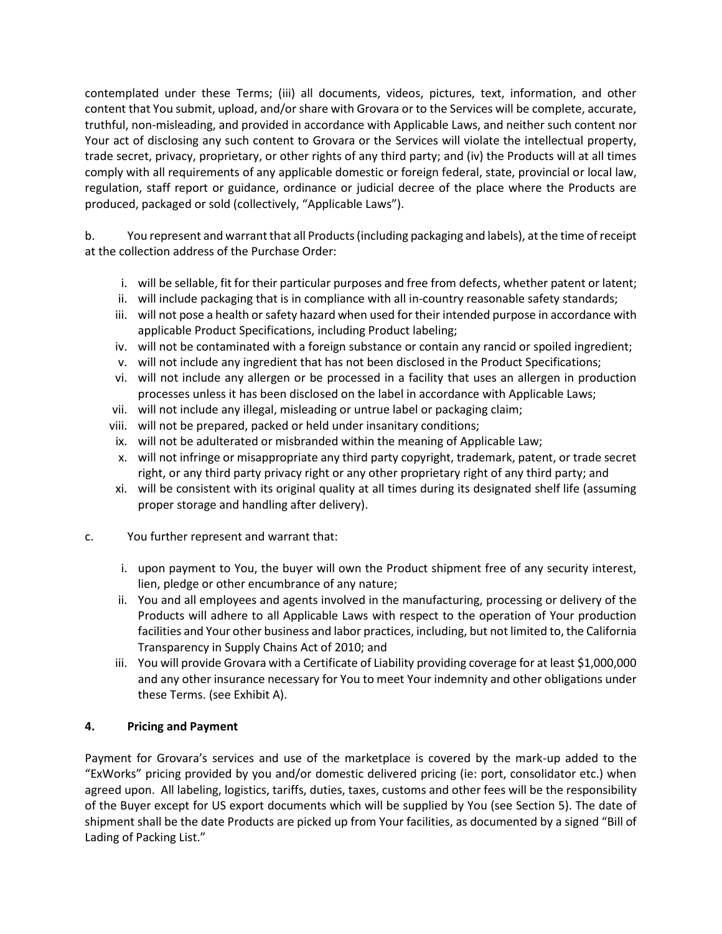contemplated under these Terms; (iii) all documents, videos, pictures, text, information, and other content that You submit, upload, and/or share with Grovara or to the Services will be complete, accurate, truthful, non-misleading, and provided in accordance with Applicable Laws, and neither such content nor Your act of disclosing any such content to Grovara or the Services will violate the intellectual property, trade secret, privacy, proprietary, or other rights of any third party; and (iv) the Products will at all times comply with all requirements of any applicable domestic or foreign federal, state, provincial or local law, regulation, staff report or guidance, ordinance or judicial decree of the place where the Products are produced, packaged or sold (collectively, "Applicable Laws").

b. You represent and warrant that all Products (including packaging and labels), at the time of receipt at the collection address of the Purchase Order:

- i. will be sellable, fit for their particular purposes and free from defects, whether patent or latent;
- ii. will include packaging that is in compliance with all in-country reasonable safety standards;
- iii. will not pose a health or safety hazard when used for their intended purpose in accordance with applicable Product Specifications, including Product labeling;
- iv. will not be contaminated with a foreign substance or contain any rancid or spoiled ingredient;
- v. will not include any ingredient that has not been disclosed in the Product Specifications;
- vi. will not include any allergen or be processed in a facility that uses an allergen in production processes unless it has been disclosed on the label in accordance with Applicable Laws;
- vii. will not include any illegal, misleading or untrue label or packaging claim;
- viii. will not be prepared, packed or held under insanitary conditions;
- ix. will not be adulterated or misbranded within the meaning of Applicable Law;
- x. will not infringe or misappropriate any third party copyright, trademark, patent, or trade secret right, or any third party privacy right or any other proprietary right of any third party; and
- xi. will be consistent with its original quality at all times during its designated shelf life (assuming proper storage and handling after delivery).
- c. You further represent and warrant that:
	- i. upon payment to You, the buyer will own the Product shipment free of any security interest, lien, pledge or other encumbrance of any nature;
	- ii. You and all employees and agents involved in the manufacturing, processing or delivery of the Products will adhere to all Applicable Laws with respect to the operation of Your production facilities and Your other business and labor practices, including, but not limited to, the California Transparency in Supply Chains Act of 2010; and
	- iii. You will provide Grovara with a Certificate of Liability providing coverage for at least \$1,000,000 and any other insurance necessary for You to meet Your indemnity and other obligations under these Terms. (see Exhibit A).

# **4. Pricing and Payment**

Payment for Grovara's services and use of the marketplace is covered by the mark-up added to the "ExWorks" pricing provided by you and/or domestic delivered pricing (ie: port, consolidator etc.) when agreed upon. All labeling, logistics, tariffs, duties, taxes, customs and other fees will be the responsibility of the Buyer except for US export documents which will be supplied by You (see Section 5). The date of shipment shall be the date Products are picked up from Your facilities, as documented by a signed "Bill of Lading of Packing List."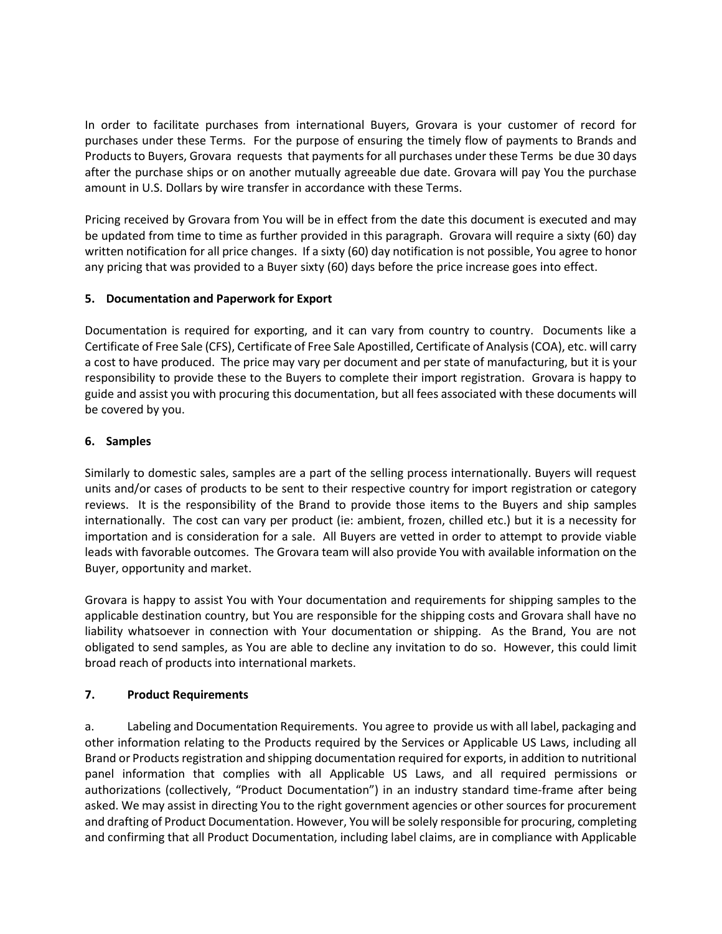In order to facilitate purchases from international Buyers, Grovara is your customer of record for purchases under these Terms. For the purpose of ensuring the timely flow of payments to Brands and Products to Buyers, Grovara requests that payments for all purchases under these Terms be due 30 days after the purchase ships or on another mutually agreeable due date. Grovara will pay You the purchase amount in U.S. Dollars by wire transfer in accordance with these Terms.

Pricing received by Grovara from You will be in effect from the date this document is executed and may be updated from time to time as further provided in this paragraph. Grovara will require a sixty (60) day written notification for all price changes. If a sixty (60) day notification is not possible, You agree to honor any pricing that was provided to a Buyer sixty (60) days before the price increase goes into effect.

# **5. Documentation and Paperwork for Export**

Documentation is required for exporting, and it can vary from country to country. Documents like a Certificate of Free Sale (CFS), Certificate of Free Sale Apostilled, Certificate of Analysis (COA), etc. will carry a cost to have produced. The price may vary per document and per state of manufacturing, but it is your responsibility to provide these to the Buyers to complete their import registration. Grovara is happy to guide and assist you with procuring this documentation, but all fees associated with these documents will be covered by you.

### **6. Samples**

Similarly to domestic sales, samples are a part of the selling process internationally. Buyers will request units and/or cases of products to be sent to their respective country for import registration or category reviews. It is the responsibility of the Brand to provide those items to the Buyers and ship samples internationally. The cost can vary per product (ie: ambient, frozen, chilled etc.) but it is a necessity for importation and is consideration for a sale. All Buyers are vetted in order to attempt to provide viable leads with favorable outcomes. The Grovara team will also provide You with available information on the Buyer, opportunity and market.

Grovara is happy to assist You with Your documentation and requirements for shipping samples to the applicable destination country, but You are responsible for the shipping costs and Grovara shall have no liability whatsoever in connection with Your documentation or shipping. As the Brand, You are not obligated to send samples, as You are able to decline any invitation to do so. However, this could limit broad reach of products into international markets.

#### **7. Product Requirements**

a. Labeling and Documentation Requirements. You agree to provide us with all label, packaging and other information relating to the Products required by the Services or Applicable US Laws, including all Brand or Products registration and shipping documentation required for exports, in addition to nutritional panel information that complies with all Applicable US Laws, and all required permissions or authorizations (collectively, "Product Documentation") in an industry standard time-frame after being asked. We may assist in directing You to the right government agencies or other sources for procurement and drafting of Product Documentation. However, You will be solely responsible for procuring, completing and confirming that all Product Documentation, including label claims, are in compliance with Applicable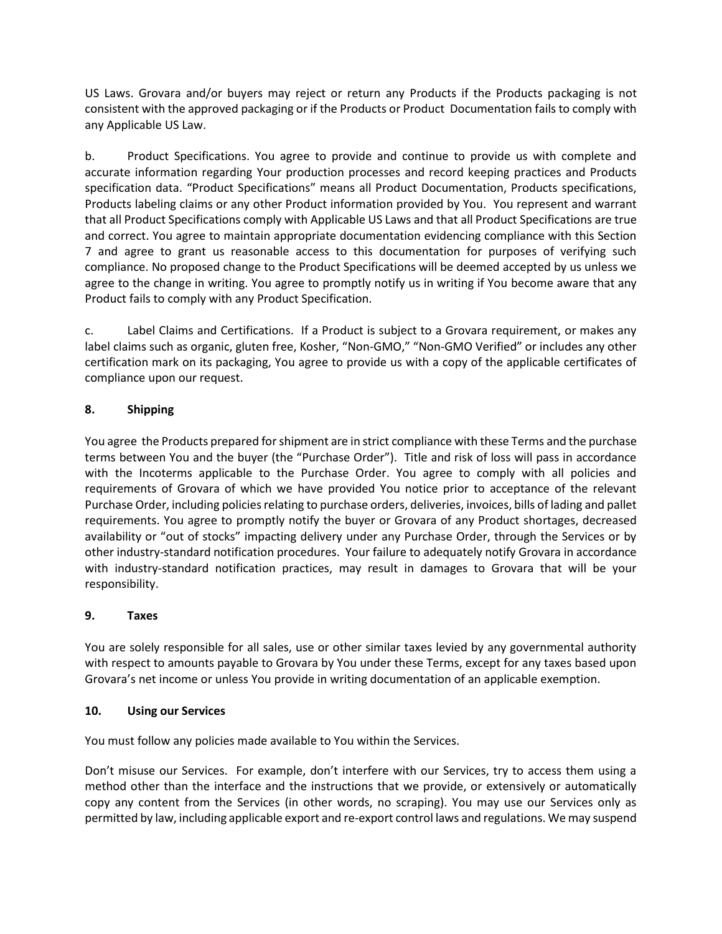US Laws. Grovara and/or buyers may reject or return any Products if the Products packaging is not consistent with the approved packaging or if the Products or Product Documentation fails to comply with any Applicable US Law.

b. Product Specifications. You agree to provide and continue to provide us with complete and accurate information regarding Your production processes and record keeping practices and Products specification data. "Product Specifications" means all Product Documentation, Products specifications, Products labeling claims or any other Product information provided by You. You represent and warrant that all Product Specifications comply with Applicable US Laws and that all Product Specifications are true and correct. You agree to maintain appropriate documentation evidencing compliance with this Section 7 and agree to grant us reasonable access to this documentation for purposes of verifying such compliance. No proposed change to the Product Specifications will be deemed accepted by us unless we agree to the change in writing. You agree to promptly notify us in writing if You become aware that any Product fails to comply with any Product Specification.

c. Label Claims and Certifications. If a Product is subject to a Grovara requirement, or makes any label claims such as organic, gluten free, Kosher, "Non-GMO," "Non-GMO Verified" or includes any other certification mark on its packaging, You agree to provide us with a copy of the applicable certificates of compliance upon our request.

# **8. Shipping**

You agree the Products prepared for shipment are in strict compliance with these Terms and the purchase terms between You and the buyer (the "Purchase Order"). Title and risk of loss will pass in accordance with the Incoterms applicable to the Purchase Order. You agree to comply with all policies and requirements of Grovara of which we have provided You notice prior to acceptance of the relevant Purchase Order, including policies relating to purchase orders, deliveries, invoices, bills of lading and pallet requirements. You agree to promptly notify the buyer or Grovara of any Product shortages, decreased availability or "out of stocks" impacting delivery under any Purchase Order, through the Services or by other industry-standard notification procedures. Your failure to adequately notify Grovara in accordance with industry-standard notification practices, may result in damages to Grovara that will be your responsibility.

# **9. Taxes**

You are solely responsible for all sales, use or other similar taxes levied by any governmental authority with respect to amounts payable to Grovara by You under these Terms, except for any taxes based upon Grovara's net income or unless You provide in writing documentation of an applicable exemption.

#### **10. Using our Services**

You must follow any policies made available to You within the Services.

Don't misuse our Services. For example, don't interfere with our Services, try to access them using a method other than the interface and the instructions that we provide, or extensively or automatically copy any content from the Services (in other words, no scraping). You may use our Services only as permitted by law, including applicable export and re-export control laws and regulations. We may suspend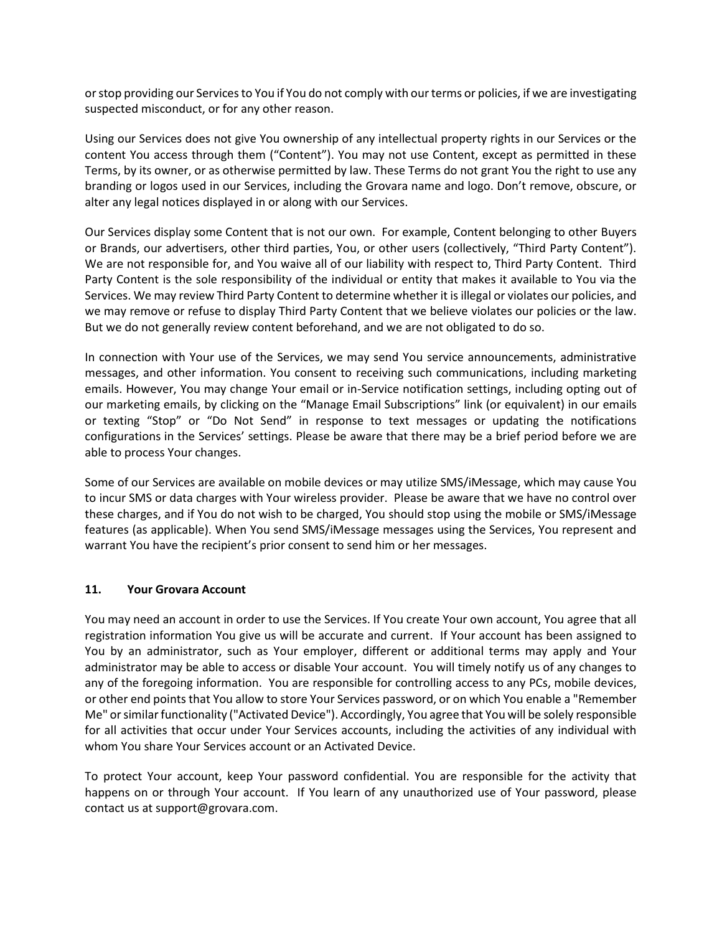or stop providing our Services to You if You do not comply with our terms or policies, if we are investigating suspected misconduct, or for any other reason.

Using our Services does not give You ownership of any intellectual property rights in our Services or the content You access through them ("Content"). You may not use Content, except as permitted in these Terms, by its owner, or as otherwise permitted by law. These Terms do not grant You the right to use any branding or logos used in our Services, including the Grovara name and logo. Don't remove, obscure, or alter any legal notices displayed in or along with our Services.

Our Services display some Content that is not our own. For example, Content belonging to other Buyers or Brands, our advertisers, other third parties, You, or other users (collectively, "Third Party Content"). We are not responsible for, and You waive all of our liability with respect to, Third Party Content. Third Party Content is the sole responsibility of the individual or entity that makes it available to You via the Services. We may review Third Party Content to determine whether it is illegal or violates our policies, and we may remove or refuse to display Third Party Content that we believe violates our policies or the law. But we do not generally review content beforehand, and we are not obligated to do so.

In connection with Your use of the Services, we may send You service announcements, administrative messages, and other information. You consent to receiving such communications, including marketing emails. However, You may change Your email or in-Service notification settings, including opting out of our marketing emails, by clicking on the "Manage Email Subscriptions" link (or equivalent) in our emails or texting "Stop" or "Do Not Send" in response to text messages or updating the notifications configurations in the Services' settings. Please be aware that there may be a brief period before we are able to process Your changes.

Some of our Services are available on mobile devices or may utilize SMS/iMessage, which may cause You to incur SMS or data charges with Your wireless provider. Please be aware that we have no control over these charges, and if You do not wish to be charged, You should stop using the mobile or SMS/iMessage features (as applicable). When You send SMS/iMessage messages using the Services, You represent and warrant You have the recipient's prior consent to send him or her messages.

#### **11. Your Grovara Account**

You may need an account in order to use the Services. If You create Your own account, You agree that all registration information You give us will be accurate and current. If Your account has been assigned to You by an administrator, such as Your employer, different or additional terms may apply and Your administrator may be able to access or disable Your account. You will timely notify us of any changes to any of the foregoing information. You are responsible for controlling access to any PCs, mobile devices, or other end points that You allow to store Your Services password, or on which You enable a "Remember Me" or similar functionality ("Activated Device"). Accordingly, You agree that You will be solely responsible for all activities that occur under Your Services accounts, including the activities of any individual with whom You share Your Services account or an Activated Device.

To protect Your account, keep Your password confidential. You are responsible for the activity that happens on or through Your account. If You learn of any unauthorized use of Your password, please contact us at support@grovara.com.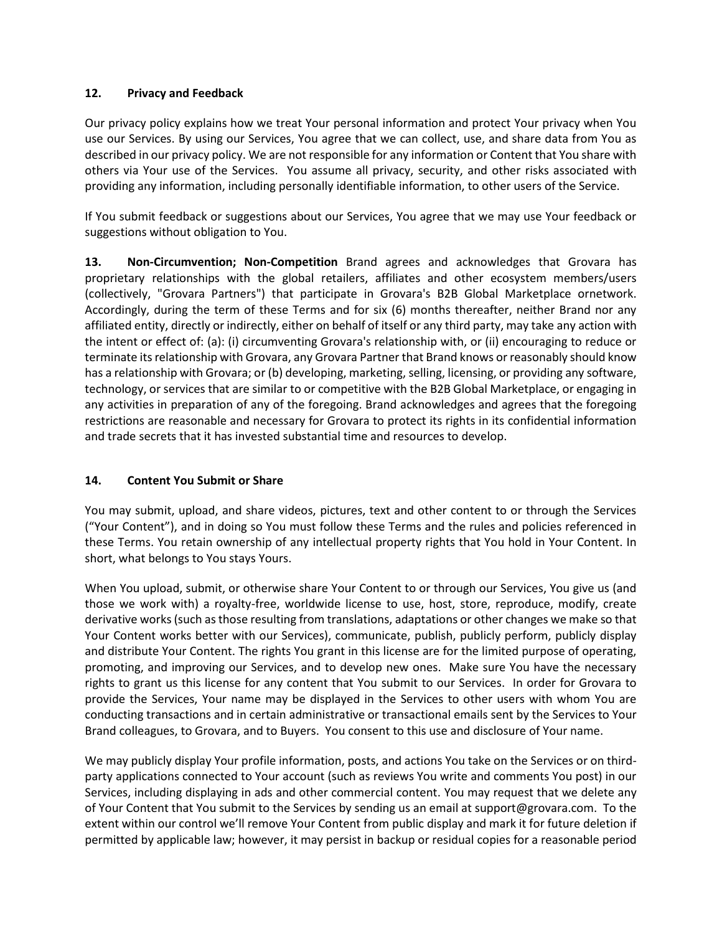### **12. Privacy and Feedback**

Our privacy policy explains how we treat Your personal information and protect Your privacy when You use our Services. By using our Services, You agree that we can collect, use, and share data from You as described in our privacy policy. We are not responsible for any information or Content that You share with others via Your use of the Services. You assume all privacy, security, and other risks associated with providing any information, including personally identifiable information, to other users of the Service.

If You submit feedback or suggestions about our Services, You agree that we may use Your feedback or suggestions without obligation to You.

**13. Non-Circumvention; Non-Competition** Brand agrees and acknowledges that Grovara has proprietary relationships with the global retailers, affiliates and other ecosystem members/users (collectively, "Grovara Partners") that participate in Grovara's B2B Global Marketplace ornetwork. Accordingly, during the term of these Terms and for six (6) months thereafter, neither Brand nor any affiliated entity, directly or indirectly, either on behalf of itself or any third party, may take any action with the intent or effect of: (a): (i) circumventing Grovara's relationship with, or (ii) encouraging to reduce or terminate its relationship with Grovara, any Grovara Partner that Brand knows or reasonably should know has a relationship with Grovara; or (b) developing, marketing, selling, licensing, or providing any software, technology, or services that are similar to or competitive with the B2B Global Marketplace, or engaging in any activities in preparation of any of the foregoing. Brand acknowledges and agrees that the foregoing restrictions are reasonable and necessary for Grovara to protect its rights in its confidential information and trade secrets that it has invested substantial time and resources to develop.

# **14. Content You Submit or Share**

You may submit, upload, and share videos, pictures, text and other content to or through the Services ("Your Content"), and in doing so You must follow these Terms and the rules and policies referenced in these Terms. You retain ownership of any intellectual property rights that You hold in Your Content. In short, what belongs to You stays Yours.

When You upload, submit, or otherwise share Your Content to or through our Services, You give us (and those we work with) a royalty-free, worldwide license to use, host, store, reproduce, modify, create derivative works (such as those resulting from translations, adaptations or other changes we make so that Your Content works better with our Services), communicate, publish, publicly perform, publicly display and distribute Your Content. The rights You grant in this license are for the limited purpose of operating, promoting, and improving our Services, and to develop new ones. Make sure You have the necessary rights to grant us this license for any content that You submit to our Services. In order for Grovara to provide the Services, Your name may be displayed in the Services to other users with whom You are conducting transactions and in certain administrative or transactional emails sent by the Services to Your Brand colleagues, to Grovara, and to Buyers. You consent to this use and disclosure of Your name.

We may publicly display Your profile information, posts, and actions You take on the Services or on thirdparty applications connected to Your account (such as reviews You write and comments You post) in our Services, including displaying in ads and other commercial content. You may request that we delete any of Your Content that You submit to the Services by sending us an email at support@grovara.com. To the extent within our control we'll remove Your Content from public display and mark it for future deletion if permitted by applicable law; however, it may persist in backup or residual copies for a reasonable period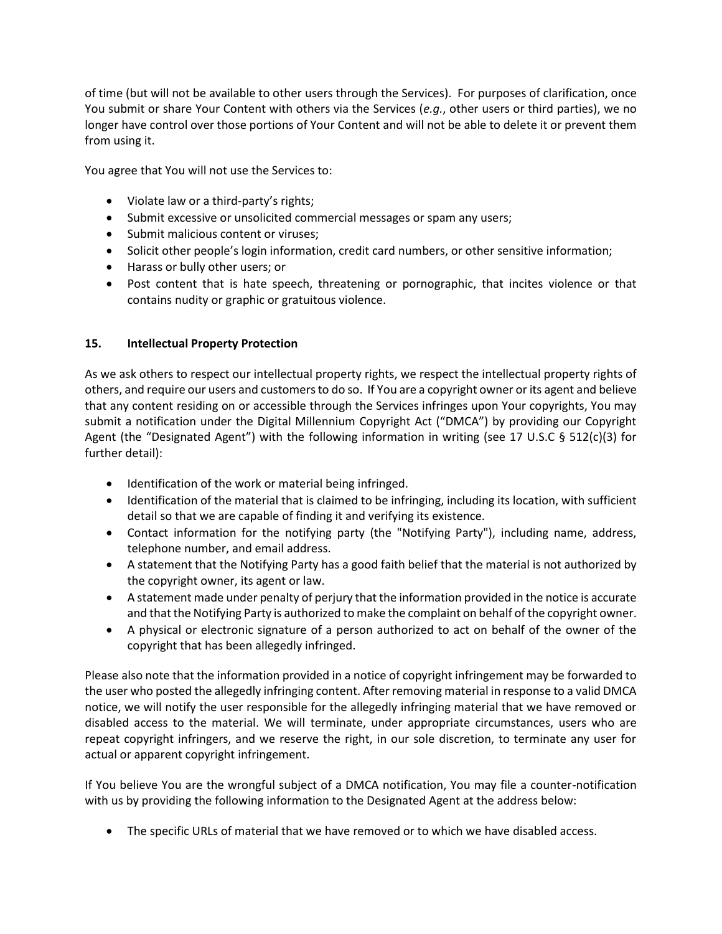of time (but will not be available to other users through the Services). For purposes of clarification, once You submit or share Your Content with others via the Services (*e.g.*, other users or third parties), we no longer have control over those portions of Your Content and will not be able to delete it or prevent them from using it.

You agree that You will not use the Services to:

- Violate law or a third-party's rights;
- Submit excessive or unsolicited commercial messages or spam any users;
- Submit malicious content or viruses;
- Solicit other people's login information, credit card numbers, or other sensitive information;
- Harass or bully other users; or
- Post content that is hate speech, threatening or pornographic, that incites violence or that contains nudity or graphic or gratuitous violence.

# **15. Intellectual Property Protection**

As we ask others to respect our intellectual property rights, we respect the intellectual property rights of others, and require our users and customers to do so. If You are a copyright owner or its agent and believe that any content residing on or accessible through the Services infringes upon Your copyrights, You may submit a notification under the Digital Millennium Copyright Act ("DMCA") by providing our Copyright Agent (the "Designated Agent") with the following information in writing (see 17 U.S.C § 512(c)(3) for further detail):

- Identification of the work or material being infringed.
- Identification of the material that is claimed to be infringing, including its location, with sufficient detail so that we are capable of finding it and verifying its existence.
- Contact information for the notifying party (the "Notifying Party"), including name, address, telephone number, and email address.
- A statement that the Notifying Party has a good faith belief that the material is not authorized by the copyright owner, its agent or law.
- A statement made under penalty of perjury that the information provided in the notice is accurate and that the Notifying Party is authorized to make the complaint on behalf of the copyright owner.
- A physical or electronic signature of a person authorized to act on behalf of the owner of the copyright that has been allegedly infringed.

Please also note that the information provided in a notice of copyright infringement may be forwarded to the user who posted the allegedly infringing content. After removing material in response to a valid DMCA notice, we will notify the user responsible for the allegedly infringing material that we have removed or disabled access to the material. We will terminate, under appropriate circumstances, users who are repeat copyright infringers, and we reserve the right, in our sole discretion, to terminate any user for actual or apparent copyright infringement.

If You believe You are the wrongful subject of a DMCA notification, You may file a counter-notification with us by providing the following information to the Designated Agent at the address below:

• The specific URLs of material that we have removed or to which we have disabled access.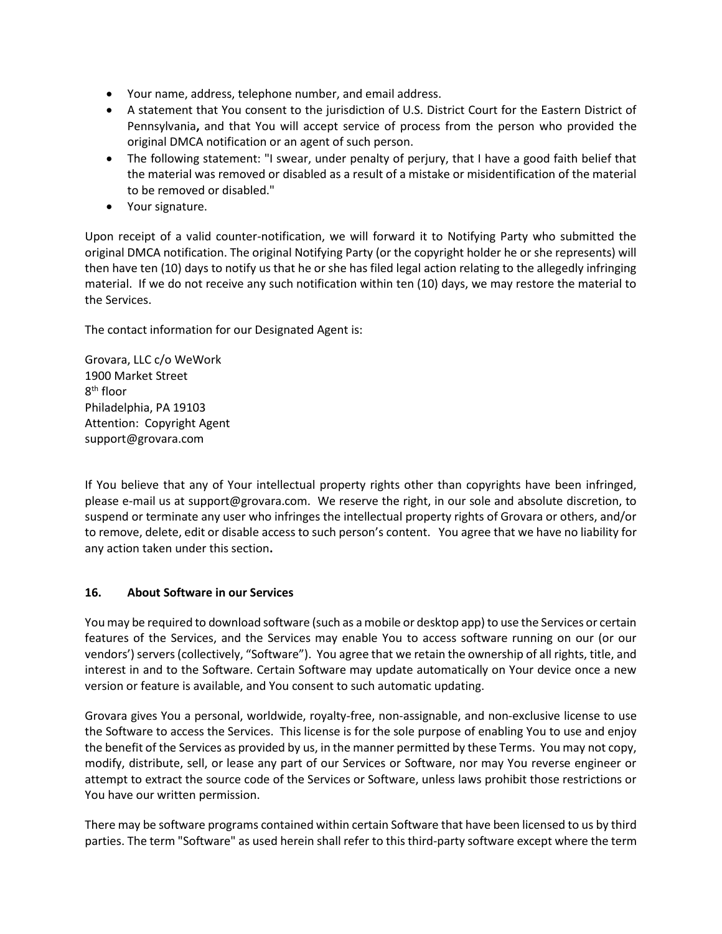- Your name, address, telephone number, and email address.
- A statement that You consent to the jurisdiction of U.S. District Court for the Eastern District of Pennsylvania**,** and that You will accept service of process from the person who provided the original DMCA notification or an agent of such person.
- The following statement: "I swear, under penalty of perjury, that I have a good faith belief that the material was removed or disabled as a result of a mistake or misidentification of the material to be removed or disabled."
- Your signature.

Upon receipt of a valid counter-notification, we will forward it to Notifying Party who submitted the original DMCA notification. The original Notifying Party (or the copyright holder he or she represents) will then have ten (10) days to notify us that he or she has filed legal action relating to the allegedly infringing material. If we do not receive any such notification within ten (10) days, we may restore the material to the Services.

The contact information for our Designated Agent is:

Grovara, LLC c/o WeWork 1900 Market Street 8<sup>th</sup> floor Philadelphia, PA 19103 Attention: Copyright Agent support@grovara.com

If You believe that any of Your intellectual property rights other than copyrights have been infringed, please e-mail us at support@grovara.com. We reserve the right, in our sole and absolute discretion, to suspend or terminate any user who infringes the intellectual property rights of Grovara or others, and/or to remove, delete, edit or disable access to such person's content. You agree that we have no liability for any action taken under this section**.** 

#### **16. About Software in our Services**

You may be required to download software (such as a mobile or desktop app) to use the Services or certain features of the Services, and the Services may enable You to access software running on our (or our vendors') servers (collectively, "Software"). You agree that we retain the ownership of all rights, title, and interest in and to the Software. Certain Software may update automatically on Your device once a new version or feature is available, and You consent to such automatic updating.

Grovara gives You a personal, worldwide, royalty-free, non-assignable, and non-exclusive license to use the Software to access the Services. This license is for the sole purpose of enabling You to use and enjoy the benefit of the Services as provided by us, in the manner permitted by these Terms. You may not copy, modify, distribute, sell, or lease any part of our Services or Software, nor may You reverse engineer or attempt to extract the source code of the Services or Software, unless laws prohibit those restrictions or You have our written permission.

There may be software programs contained within certain Software that have been licensed to us by third parties. The term "Software" as used herein shall refer to this third-party software except where the term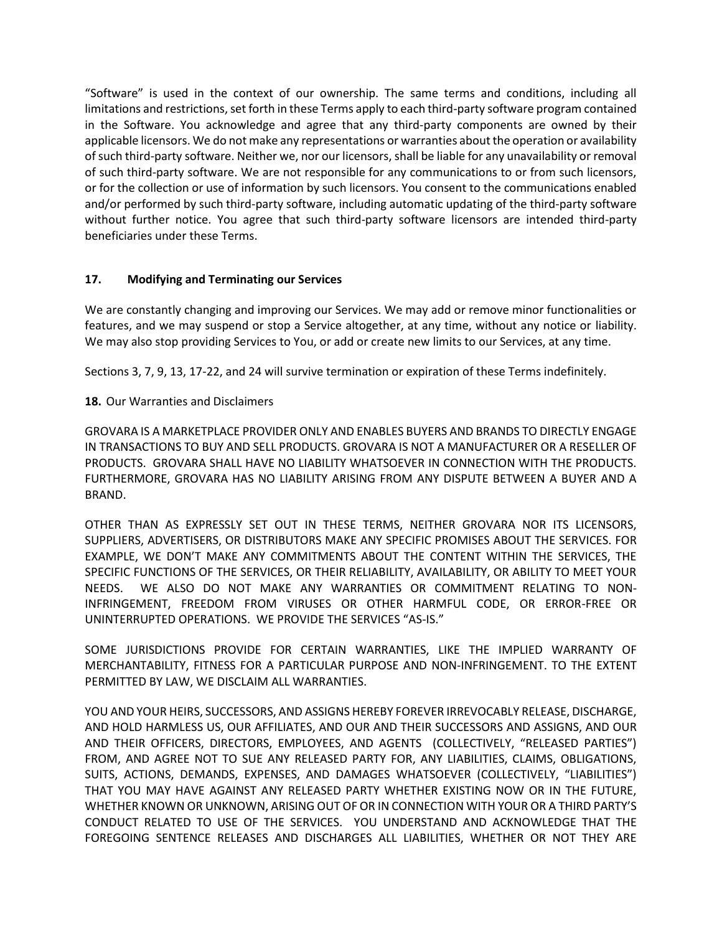"Software" is used in the context of our ownership. The same terms and conditions, including all limitations and restrictions, set forth in these Terms apply to each third-party software program contained in the Software. You acknowledge and agree that any third-party components are owned by their applicable licensors. We do not make any representations or warranties about the operation or availability of such third-party software. Neither we, nor our licensors, shall be liable for any unavailability or removal of such third-party software. We are not responsible for any communications to or from such licensors, or for the collection or use of information by such licensors. You consent to the communications enabled and/or performed by such third-party software, including automatic updating of the third-party software without further notice. You agree that such third-party software licensors are intended third-party beneficiaries under these Terms.

#### **17. Modifying and Terminating our Services**

We are constantly changing and improving our Services. We may add or remove minor functionalities or features, and we may suspend or stop a Service altogether, at any time, without any notice or liability. We may also stop providing Services to You, or add or create new limits to our Services, at any time.

Sections 3, 7, 9, 13, 17-22, and 24 will survive termination or expiration of these Terms indefinitely.

### **18.** Our Warranties and Disclaimers

GROVARA IS A MARKETPLACE PROVIDER ONLY AND ENABLES BUYERS AND BRANDS TO DIRECTLY ENGAGE IN TRANSACTIONS TO BUY AND SELL PRODUCTS. GROVARA IS NOT A MANUFACTURER OR A RESELLER OF PRODUCTS. GROVARA SHALL HAVE NO LIABILITY WHATSOEVER IN CONNECTION WITH THE PRODUCTS. FURTHERMORE, GROVARA HAS NO LIABILITY ARISING FROM ANY DISPUTE BETWEEN A BUYER AND A BRAND.

OTHER THAN AS EXPRESSLY SET OUT IN THESE TERMS, NEITHER GROVARA NOR ITS LICENSORS, SUPPLIERS, ADVERTISERS, OR DISTRIBUTORS MAKE ANY SPECIFIC PROMISES ABOUT THE SERVICES. FOR EXAMPLE, WE DON'T MAKE ANY COMMITMENTS ABOUT THE CONTENT WITHIN THE SERVICES, THE SPECIFIC FUNCTIONS OF THE SERVICES, OR THEIR RELIABILITY, AVAILABILITY, OR ABILITY TO MEET YOUR NEEDS. WE ALSO DO NOT MAKE ANY WARRANTIES OR COMMITMENT RELATING TO NON-INFRINGEMENT, FREEDOM FROM VIRUSES OR OTHER HARMFUL CODE, OR ERROR-FREE OR UNINTERRUPTED OPERATIONS. WE PROVIDE THE SERVICES "AS-IS."

SOME JURISDICTIONS PROVIDE FOR CERTAIN WARRANTIES, LIKE THE IMPLIED WARRANTY OF MERCHANTABILITY, FITNESS FOR A PARTICULAR PURPOSE AND NON-INFRINGEMENT. TO THE EXTENT PERMITTED BY LAW, WE DISCLAIM ALL WARRANTIES.

YOU AND YOUR HEIRS, SUCCESSORS, AND ASSIGNS HEREBY FOREVER IRREVOCABLY RELEASE, DISCHARGE, AND HOLD HARMLESS US, OUR AFFILIATES, AND OUR AND THEIR SUCCESSORS AND ASSIGNS, AND OUR AND THEIR OFFICERS, DIRECTORS, EMPLOYEES, AND AGENTS (COLLECTIVELY, "RELEASED PARTIES") FROM, AND AGREE NOT TO SUE ANY RELEASED PARTY FOR, ANY LIABILITIES, CLAIMS, OBLIGATIONS, SUITS, ACTIONS, DEMANDS, EXPENSES, AND DAMAGES WHATSOEVER (COLLECTIVELY, "LIABILITIES") THAT YOU MAY HAVE AGAINST ANY RELEASED PARTY WHETHER EXISTING NOW OR IN THE FUTURE, WHETHER KNOWN OR UNKNOWN, ARISING OUT OF OR IN CONNECTION WITH YOUR OR A THIRD PARTY'S CONDUCT RELATED TO USE OF THE SERVICES. YOU UNDERSTAND AND ACKNOWLEDGE THAT THE FOREGOING SENTENCE RELEASES AND DISCHARGES ALL LIABILITIES, WHETHER OR NOT THEY ARE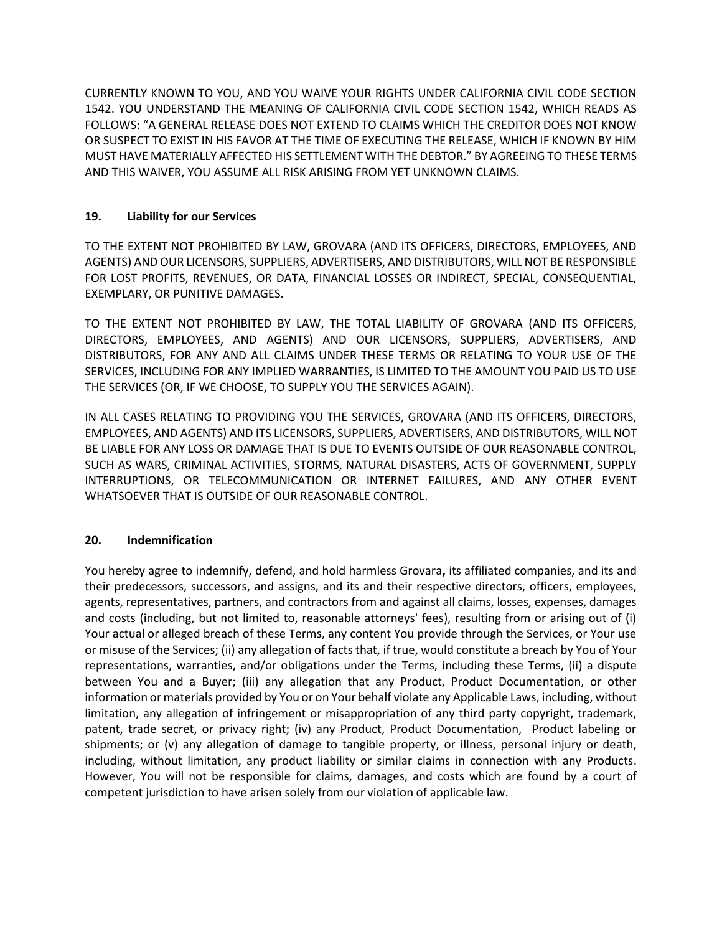CURRENTLY KNOWN TO YOU, AND YOU WAIVE YOUR RIGHTS UNDER CALIFORNIA CIVIL CODE SECTION 1542. YOU UNDERSTAND THE MEANING OF CALIFORNIA CIVIL CODE SECTION 1542, WHICH READS AS FOLLOWS: "A GENERAL RELEASE DOES NOT EXTEND TO CLAIMS WHICH THE CREDITOR DOES NOT KNOW OR SUSPECT TO EXIST IN HIS FAVOR AT THE TIME OF EXECUTING THE RELEASE, WHICH IF KNOWN BY HIM MUST HAVE MATERIALLY AFFECTED HIS SETTLEMENT WITH THE DEBTOR." BY AGREEING TO THESE TERMS AND THIS WAIVER, YOU ASSUME ALL RISK ARISING FROM YET UNKNOWN CLAIMS.

# **19. Liability for our Services**

TO THE EXTENT NOT PROHIBITED BY LAW, GROVARA (AND ITS OFFICERS, DIRECTORS, EMPLOYEES, AND AGENTS) AND OUR LICENSORS, SUPPLIERS, ADVERTISERS, AND DISTRIBUTORS, WILL NOT BE RESPONSIBLE FOR LOST PROFITS, REVENUES, OR DATA, FINANCIAL LOSSES OR INDIRECT, SPECIAL, CONSEQUENTIAL, EXEMPLARY, OR PUNITIVE DAMAGES.

TO THE EXTENT NOT PROHIBITED BY LAW, THE TOTAL LIABILITY OF GROVARA (AND ITS OFFICERS, DIRECTORS, EMPLOYEES, AND AGENTS) AND OUR LICENSORS, SUPPLIERS, ADVERTISERS, AND DISTRIBUTORS, FOR ANY AND ALL CLAIMS UNDER THESE TERMS OR RELATING TO YOUR USE OF THE SERVICES, INCLUDING FOR ANY IMPLIED WARRANTIES, IS LIMITED TO THE AMOUNT YOU PAID US TO USE THE SERVICES (OR, IF WE CHOOSE, TO SUPPLY YOU THE SERVICES AGAIN).

IN ALL CASES RELATING TO PROVIDING YOU THE SERVICES, GROVARA (AND ITS OFFICERS, DIRECTORS, EMPLOYEES, AND AGENTS) AND ITS LICENSORS, SUPPLIERS, ADVERTISERS, AND DISTRIBUTORS, WILL NOT BE LIABLE FOR ANY LOSS OR DAMAGE THAT IS DUE TO EVENTS OUTSIDE OF OUR REASONABLE CONTROL, SUCH AS WARS, CRIMINAL ACTIVITIES, STORMS, NATURAL DISASTERS, ACTS OF GOVERNMENT, SUPPLY INTERRUPTIONS, OR TELECOMMUNICATION OR INTERNET FAILURES, AND ANY OTHER EVENT WHATSOEVER THAT IS OUTSIDE OF OUR REASONABLE CONTROL.

#### **20. Indemnification**

You hereby agree to indemnify, defend, and hold harmless Grovara**,** its affiliated companies, and its and their predecessors, successors, and assigns, and its and their respective directors, officers, employees, agents, representatives, partners, and contractors from and against all claims, losses, expenses, damages and costs (including, but not limited to, reasonable attorneys' fees), resulting from or arising out of (i) Your actual or alleged breach of these Terms, any content You provide through the Services, or Your use or misuse of the Services; (ii) any allegation of facts that, if true, would constitute a breach by You of Your representations, warranties, and/or obligations under the Terms, including these Terms, (ii) a dispute between You and a Buyer; (iii) any allegation that any Product, Product Documentation, or other information or materials provided by You or on Your behalf violate any Applicable Laws, including, without limitation, any allegation of infringement or misappropriation of any third party copyright, trademark, patent, trade secret, or privacy right; (iv) any Product, Product Documentation, Product labeling or shipments; or (v) any allegation of damage to tangible property, or illness, personal injury or death, including, without limitation, any product liability or similar claims in connection with any Products. However, You will not be responsible for claims, damages, and costs which are found by a court of competent jurisdiction to have arisen solely from our violation of applicable law.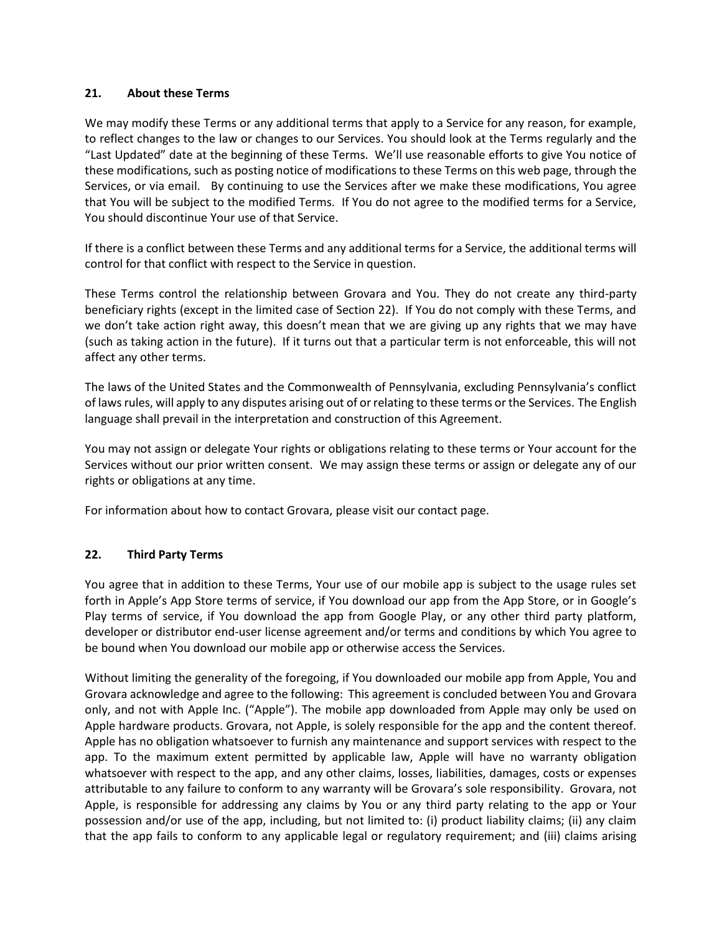### **21. About these Terms**

We may modify these Terms or any additional terms that apply to a Service for any reason, for example, to reflect changes to the law or changes to our Services. You should look at the Terms regularly and the "Last Updated" date at the beginning of these Terms. We'll use reasonable efforts to give You notice of these modifications, such as posting notice of modifications to these Terms on this web page, through the Services, or via email. By continuing to use the Services after we make these modifications, You agree that You will be subject to the modified Terms. If You do not agree to the modified terms for a Service, You should discontinue Your use of that Service.

If there is a conflict between these Terms and any additional terms for a Service, the additional terms will control for that conflict with respect to the Service in question.

These Terms control the relationship between Grovara and You. They do not create any third-party beneficiary rights (except in the limited case of Section 22). If You do not comply with these Terms, and we don't take action right away, this doesn't mean that we are giving up any rights that we may have (such as taking action in the future). If it turns out that a particular term is not enforceable, this will not affect any other terms.

The laws of the United States and the Commonwealth of Pennsylvania, excluding Pennsylvania's conflict of laws rules, will apply to any disputes arising out of or relating to these terms or the Services. The English language shall prevail in the interpretation and construction of this Agreement.

You may not assign or delegate Your rights or obligations relating to these terms or Your account for the Services without our prior written consent. We may assign these terms or assign or delegate any of our rights or obligations at any time.

For information about how to contact Grovara, please visit our contact page.

# **22. Third Party Terms**

You agree that in addition to these Terms, Your use of our mobile app is subject to the usage rules set forth in Apple's App Store terms of service, if You download our app from the App Store, or in Google's Play terms of service, if You download the app from Google Play, or any other third party platform, developer or distributor end-user license agreement and/or terms and conditions by which You agree to be bound when You download our mobile app or otherwise access the Services.

Without limiting the generality of the foregoing, if You downloaded our mobile app from Apple, You and Grovara acknowledge and agree to the following: This agreement is concluded between You and Grovara only, and not with Apple Inc. ("Apple"). The mobile app downloaded from Apple may only be used on Apple hardware products. Grovara, not Apple, is solely responsible for the app and the content thereof. Apple has no obligation whatsoever to furnish any maintenance and support services with respect to the app. To the maximum extent permitted by applicable law, Apple will have no warranty obligation whatsoever with respect to the app, and any other claims, losses, liabilities, damages, costs or expenses attributable to any failure to conform to any warranty will be Grovara's sole responsibility. Grovara, not Apple, is responsible for addressing any claims by You or any third party relating to the app or Your possession and/or use of the app, including, but not limited to: (i) product liability claims; (ii) any claim that the app fails to conform to any applicable legal or regulatory requirement; and (iii) claims arising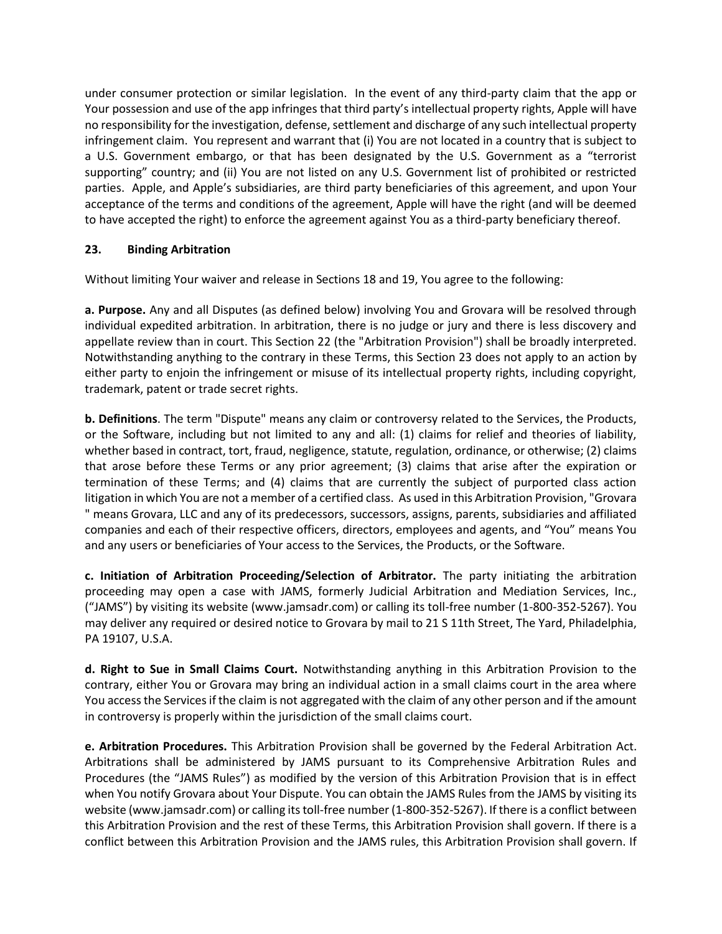under consumer protection or similar legislation. In the event of any third-party claim that the app or Your possession and use of the app infringes that third party's intellectual property rights, Apple will have no responsibility for the investigation, defense, settlement and discharge of any such intellectual property infringement claim. You represent and warrant that (i) You are not located in a country that is subject to a U.S. Government embargo, or that has been designated by the U.S. Government as a "terrorist supporting" country; and (ii) You are not listed on any U.S. Government list of prohibited or restricted parties. Apple, and Apple's subsidiaries, are third party beneficiaries of this agreement, and upon Your acceptance of the terms and conditions of the agreement, Apple will have the right (and will be deemed to have accepted the right) to enforce the agreement against You as a third-party beneficiary thereof.

# **23. Binding Arbitration**

Without limiting Your waiver and release in Sections 18 and 19, You agree to the following:

**a. Purpose.** Any and all Disputes (as defined below) involving You and Grovara will be resolved through individual expedited arbitration. In arbitration, there is no judge or jury and there is less discovery and appellate review than in court. This Section 22 (the "Arbitration Provision") shall be broadly interpreted. Notwithstanding anything to the contrary in these Terms, this Section 23 does not apply to an action by either party to enjoin the infringement or misuse of its intellectual property rights, including copyright, trademark, patent or trade secret rights.

**b. Definitions**. The term "Dispute" means any claim or controversy related to the Services, the Products, or the Software, including but not limited to any and all: (1) claims for relief and theories of liability, whether based in contract, tort, fraud, negligence, statute, regulation, ordinance, or otherwise; (2) claims that arose before these Terms or any prior agreement; (3) claims that arise after the expiration or termination of these Terms; and (4) claims that are currently the subject of purported class action litigation in which You are not a member of a certified class. As used in this Arbitration Provision, "Grovara " means Grovara, LLC and any of its predecessors, successors, assigns, parents, subsidiaries and affiliated companies and each of their respective officers, directors, employees and agents, and "You" means You and any users or beneficiaries of Your access to the Services, the Products, or the Software.

**c. Initiation of Arbitration Proceeding/Selection of Arbitrator.** The party initiating the arbitration proceeding may open a case with JAMS, formerly Judicial Arbitration and Mediation Services, Inc., ("JAMS") by visiting its website (www.jamsadr.com) or calling its toll-free number (1-800-352-5267). You may deliver any required or desired notice to Grovara by mail to 21 S 11th Street, The Yard, Philadelphia, PA 19107, U.S.A.

**d. Right to Sue in Small Claims Court.** Notwithstanding anything in this Arbitration Provision to the contrary, either You or Grovara may bring an individual action in a small claims court in the area where You access the Services if the claim is not aggregated with the claim of any other person and if the amount in controversy is properly within the jurisdiction of the small claims court.

**e. Arbitration Procedures.** This Arbitration Provision shall be governed by the Federal Arbitration Act. Arbitrations shall be administered by JAMS pursuant to its Comprehensive Arbitration Rules and Procedures (the "JAMS Rules") as modified by the version of this Arbitration Provision that is in effect when You notify Grovara about Your Dispute. You can obtain the JAMS Rules from the JAMS by visiting its website (www.jamsadr.com) or calling its toll-free number (1-800-352-5267). If there is a conflict between this Arbitration Provision and the rest of these Terms, this Arbitration Provision shall govern. If there is a conflict between this Arbitration Provision and the JAMS rules, this Arbitration Provision shall govern. If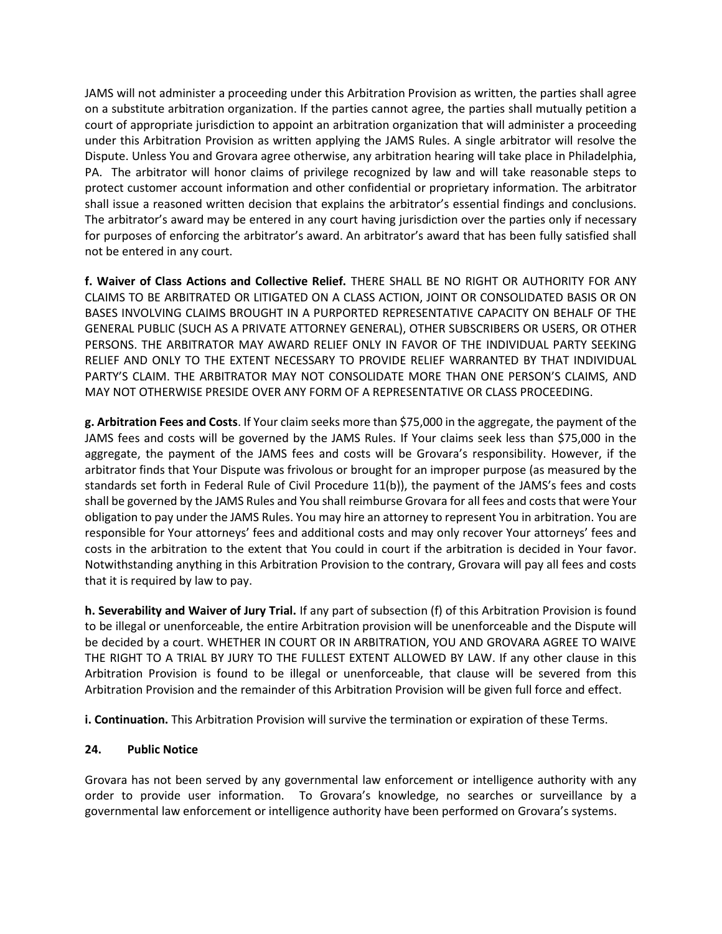JAMS will not administer a proceeding under this Arbitration Provision as written, the parties shall agree on a substitute arbitration organization. If the parties cannot agree, the parties shall mutually petition a court of appropriate jurisdiction to appoint an arbitration organization that will administer a proceeding under this Arbitration Provision as written applying the JAMS Rules. A single arbitrator will resolve the Dispute. Unless You and Grovara agree otherwise, any arbitration hearing will take place in Philadelphia, PA. The arbitrator will honor claims of privilege recognized by law and will take reasonable steps to protect customer account information and other confidential or proprietary information. The arbitrator shall issue a reasoned written decision that explains the arbitrator's essential findings and conclusions. The arbitrator's award may be entered in any court having jurisdiction over the parties only if necessary for purposes of enforcing the arbitrator's award. An arbitrator's award that has been fully satisfied shall not be entered in any court.

**f. Waiver of Class Actions and Collective Relief.** THERE SHALL BE NO RIGHT OR AUTHORITY FOR ANY CLAIMS TO BE ARBITRATED OR LITIGATED ON A CLASS ACTION, JOINT OR CONSOLIDATED BASIS OR ON BASES INVOLVING CLAIMS BROUGHT IN A PURPORTED REPRESENTATIVE CAPACITY ON BEHALF OF THE GENERAL PUBLIC (SUCH AS A PRIVATE ATTORNEY GENERAL), OTHER SUBSCRIBERS OR USERS, OR OTHER PERSONS. THE ARBITRATOR MAY AWARD RELIEF ONLY IN FAVOR OF THE INDIVIDUAL PARTY SEEKING RELIEF AND ONLY TO THE EXTENT NECESSARY TO PROVIDE RELIEF WARRANTED BY THAT INDIVIDUAL PARTY'S CLAIM. THE ARBITRATOR MAY NOT CONSOLIDATE MORE THAN ONE PERSON'S CLAIMS, AND MAY NOT OTHERWISE PRESIDE OVER ANY FORM OF A REPRESENTATIVE OR CLASS PROCEEDING.

**g. Arbitration Fees and Costs**. If Your claim seeks more than \$75,000 in the aggregate, the payment of the JAMS fees and costs will be governed by the JAMS Rules. If Your claims seek less than \$75,000 in the aggregate, the payment of the JAMS fees and costs will be Grovara's responsibility. However, if the arbitrator finds that Your Dispute was frivolous or brought for an improper purpose (as measured by the standards set forth in Federal Rule of Civil Procedure 11(b)), the payment of the JAMS's fees and costs shall be governed by the JAMS Rules and You shall reimburse Grovara for all fees and costs that were Your obligation to pay under the JAMS Rules. You may hire an attorney to represent You in arbitration. You are responsible for Your attorneys' fees and additional costs and may only recover Your attorneys' fees and costs in the arbitration to the extent that You could in court if the arbitration is decided in Your favor. Notwithstanding anything in this Arbitration Provision to the contrary, Grovara will pay all fees and costs that it is required by law to pay.

**h. Severability and Waiver of Jury Trial.** If any part of subsection (f) of this Arbitration Provision is found to be illegal or unenforceable, the entire Arbitration provision will be unenforceable and the Dispute will be decided by a court. WHETHER IN COURT OR IN ARBITRATION, YOU AND GROVARA AGREE TO WAIVE THE RIGHT TO A TRIAL BY JURY TO THE FULLEST EXTENT ALLOWED BY LAW. If any other clause in this Arbitration Provision is found to be illegal or unenforceable, that clause will be severed from this Arbitration Provision and the remainder of this Arbitration Provision will be given full force and effect.

**i. Continuation.** This Arbitration Provision will survive the termination or expiration of these Terms.

#### **24. Public Notice**

Grovara has not been served by any governmental law enforcement or intelligence authority with any order to provide user information. To Grovara's knowledge, no searches or surveillance by a governmental law enforcement or intelligence authority have been performed on Grovara's systems.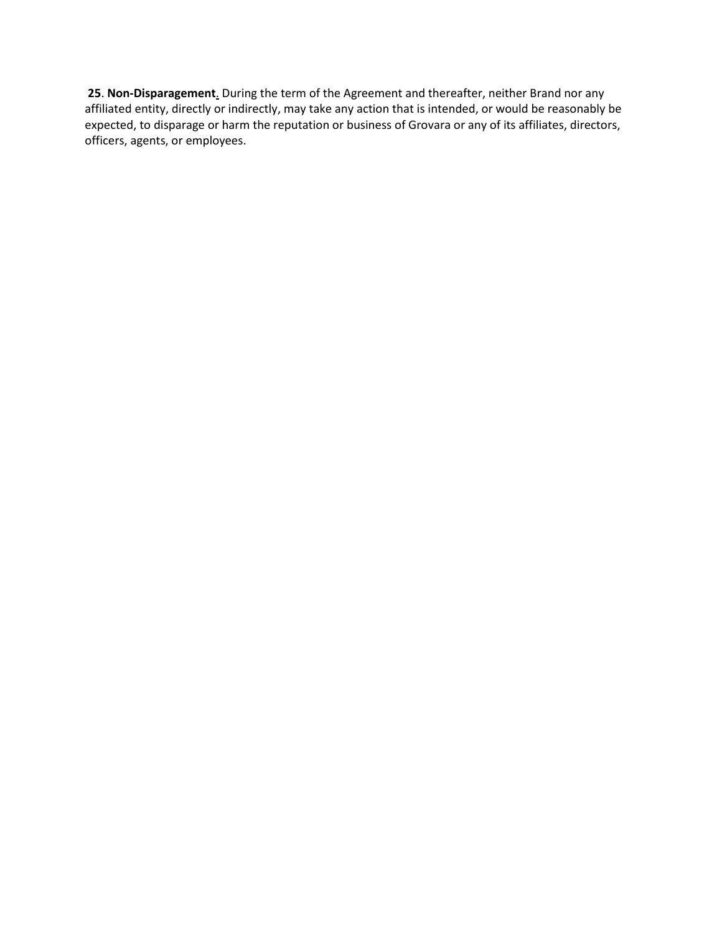**25**. **Non-Disparagement**. During the term of the Agreement and thereafter, neither Brand nor any affiliated entity, directly or indirectly, may take any action that is intended, or would be reasonably be expected, to disparage or harm the reputation or business of Grovara or any of its affiliates, directors, officers, agents, or employees.